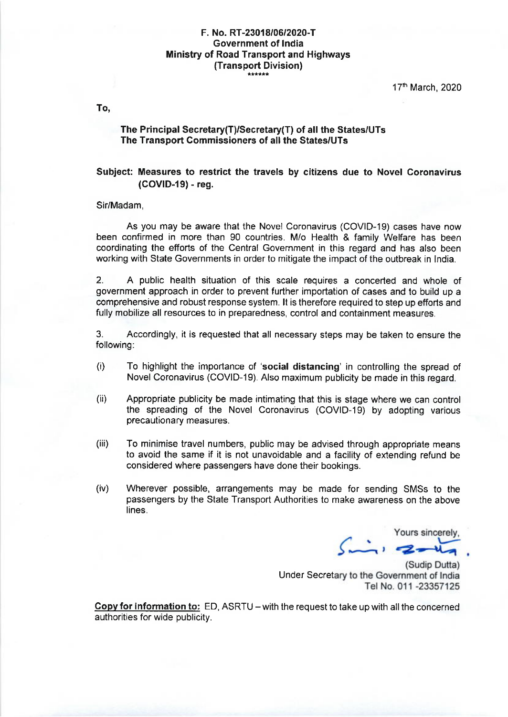# F. No. RT-2301 8|OG|?O?O-T Government of lndia Ministry of Road Transport and Highways (Transport Division)

17th March, 2020

To,

### The Principal Secretary(T)/Secretary(T) of all the States/UTs The Transport Commissioners of all the States/UTs

## Subject: Measures to restrict the travels by citizens due to Novel Coronavirus (COVID-I9) - reg.

#### Sir/Madam,

As you may be aware that the Novel Coronavirus (COVID-19) cases have now been confirmed in more than 90 countries. M/o Health & family Welfare has been coordinating the efforts of the Central Government in this regard and has also been working with State Governments in order to mitigate the impact of the outbreak in lndia.

2. A public health situation of this scale requires a concerted and whole of government approach in order to prevent further importation of cases and to build up a comprehensive and robust response system. lt is therefore required to step up efforts and fully mobilize all resources to in preparedness, control and containment measures.

3. Accordingly, it is requested that all necessary steps may be taken to ensure the following:

- $(i)$  To highlight the importance of 'social distancing' in controlling the spread of Novel Coronavirus (COVID-19). Also maximum publicity be made in this regard.
- (ii) Appropriate publicity be made intimating that this is stage where we can control the spreading of the Novel Coronavirus (COVID-19) by adopting various precautionary measures.
- (iii) To minimise travel numbers, public may be advised through appropriate means to avoid the same if it is not unavoidable and a facility of extending refund be considered where passengers have done their bookings.
- (iv) Wherever possible, arrangements may be made for sending SMSs to the passengers by the State Transport Authorities to make awareness on the above lines.

Yours sincerely

(Sudip Dutta) Under Secretary to the Government of India Tel No. 011 -23357125

Copy for information to: ED, ASRTU – with the request to take up with all the concerned authorities for wide publicity.